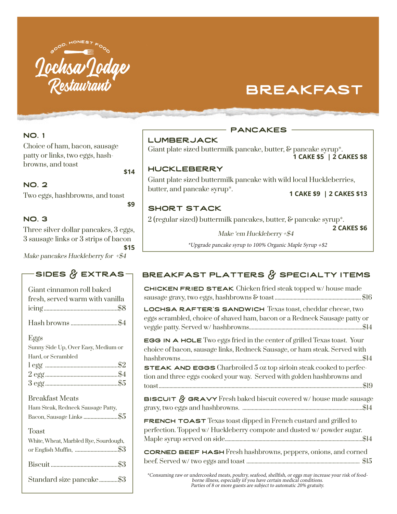

# breakfast

#### nO. 1

Choice of ham, bacon, sausage patty or links, two eggs, hashbrowns, and toast

### nO. 2

Two eggs, hashbrowns, and toast

**\$9** 

**\$14**

### nO. 3

Three silver dollar pancakes, 3 eggs, 3 sausage links or 3 strips of bacon **\$15**

Make pancakes Huckleberry for  $*$ \$4

# SIDES  $\beta$  EXTRAS

| Giant cinnamon roll baked<br>fresh, served warm with vanilla                            |
|-----------------------------------------------------------------------------------------|
|                                                                                         |
| Eggs<br>Sunny Side Up, Over Easy, Medium or<br>Hard, or Scrambled                       |
| <b>Breakfast Meats</b><br>Ham Steak, Redneck Sausage Patty,<br>Bacon, Sausage Links \$5 |
| <b>Toast</b><br>White, Wheat, Marbled Rye, Sourdough,<br>or English Muffin, \$3         |
|                                                                                         |
| Standard size pancake\$3                                                                |

#### pancakes

lumberjack

Giant plate sized buttermilk pancake, butter, & pancake syrup\*. **1 CAKE \$5 | 2 CAKES \$8**

#### huckleberry

Giant plate sized buttermilk pancake with wild local Huckleberries, butter, and pancake syrup\*. **1 CAKE \$9 | 2 CAKES \$13**

**2 CAKES \$6** 

#### Short Stack

2 (regular sized) buttermilk pancakes, butter, & pancake syrup\*.

**Make** 'em Huckleberry +\$4

\*Upgrade pancake syrup to 100% Organic Maple Syrup +\$2

# BREAKFAST PLATTERS  $\beta$  SPECIALTY ITEMS

Chicken Fried Steak Chicken fried steak topped w/ house made sausage gravy, two eggs, hashbrowns & toast................................................................\$16

lochsa rafter's Sandwich Texas toast, cheddar cheese, two eggs scrambled, choice of shaved ham, bacon or a Redneck Sausage patty or veggie patty. Served w/ hashbrowns....................................................................................\$14

**EGG IN A HOLE** Two eggs fried in the center of grilled Texas toast. Your choice of bacon, sausage links, Redneck Sausage, or ham steak. Served with hashbrowns.......................................................................................................................................\$14

STEAK AND EGGS Charbroiled 5 oz top sirloin steak cooked to perfection and three eggs cooked your way. Served with golden hashbrowns and toast.......................................................................................................................................................\$19

BISCUIT & GRAVY Fresh baked biscuit covered w/ house made sausage gravy, two eggs and hashbrowns. .........................................................................................\$14

**FRENCH TOAST** Texas toast dipped in French custard and grilled to perfection. Topped w/ Huckleberry compote and dusted w/ powder sugar. Maple syrup served on side......................................................................................................\$14

corned beef hash Fresh hashbrowns, peppers, onions, and corned beef. Served w/ two eggs and toast .................................................................................... \$15

\*Consuming raw or undercooked meats, poultry, seafood, shellfish, or eggs may increase your risk of foodborne illness, especially iif you have certain medical conditions. Parties of 8 or more guests are subject to automatic 20% gratuity.